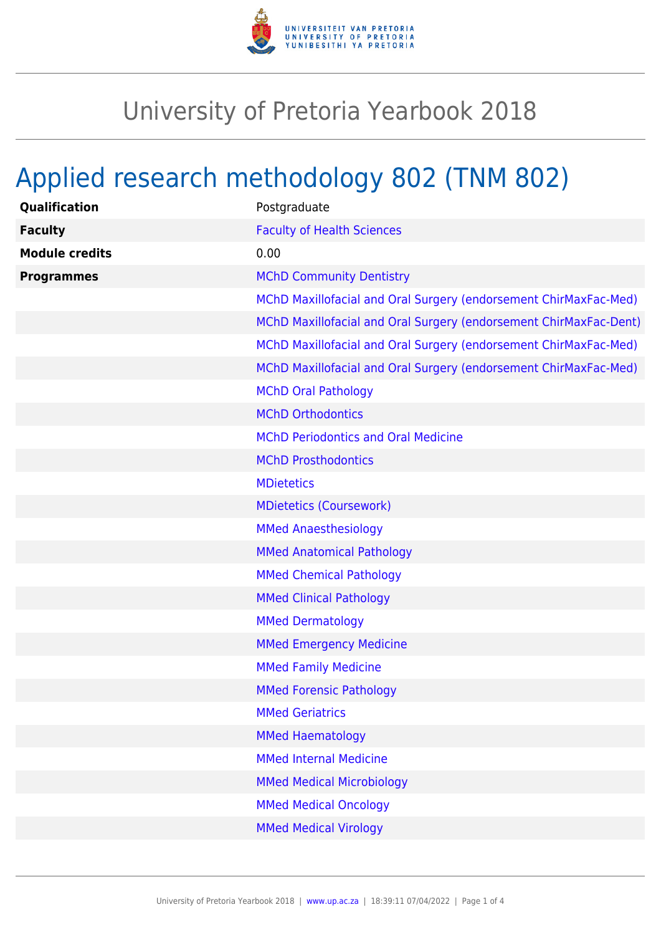

## University of Pretoria Yearbook 2018

## Applied research methodology 802 (TNM 802)

| Qualification         | Postgraduate                                                      |
|-----------------------|-------------------------------------------------------------------|
| <b>Faculty</b>        | <b>Faculty of Health Sciences</b>                                 |
| <b>Module credits</b> | 0.00                                                              |
| <b>Programmes</b>     | <b>MChD Community Dentistry</b>                                   |
|                       | MChD Maxillofacial and Oral Surgery (endorsement ChirMaxFac-Med)  |
|                       | MChD Maxillofacial and Oral Surgery (endorsement ChirMaxFac-Dent) |
|                       | MChD Maxillofacial and Oral Surgery (endorsement ChirMaxFac-Med)  |
|                       | MChD Maxillofacial and Oral Surgery (endorsement ChirMaxFac-Med)  |
|                       | <b>MChD Oral Pathology</b>                                        |
|                       | <b>MChD Orthodontics</b>                                          |
|                       | <b>MChD Periodontics and Oral Medicine</b>                        |
|                       | <b>MChD Prosthodontics</b>                                        |
|                       | <b>MDietetics</b>                                                 |
|                       | <b>MDietetics (Coursework)</b>                                    |
|                       | <b>MMed Anaesthesiology</b>                                       |
|                       | <b>MMed Anatomical Pathology</b>                                  |
|                       | <b>MMed Chemical Pathology</b>                                    |
|                       | <b>MMed Clinical Pathology</b>                                    |
|                       | <b>MMed Dermatology</b>                                           |
|                       | <b>MMed Emergency Medicine</b>                                    |
|                       | <b>MMed Family Medicine</b>                                       |
|                       | <b>MMed Forensic Pathology</b>                                    |
|                       | <b>MMed Geriatrics</b>                                            |
|                       | <b>MMed Haematology</b>                                           |
|                       | <b>MMed Internal Medicine</b>                                     |
|                       | <b>MMed Medical Microbiology</b>                                  |
|                       | <b>MMed Medical Oncology</b>                                      |
|                       | <b>MMed Medical Virology</b>                                      |
|                       |                                                                   |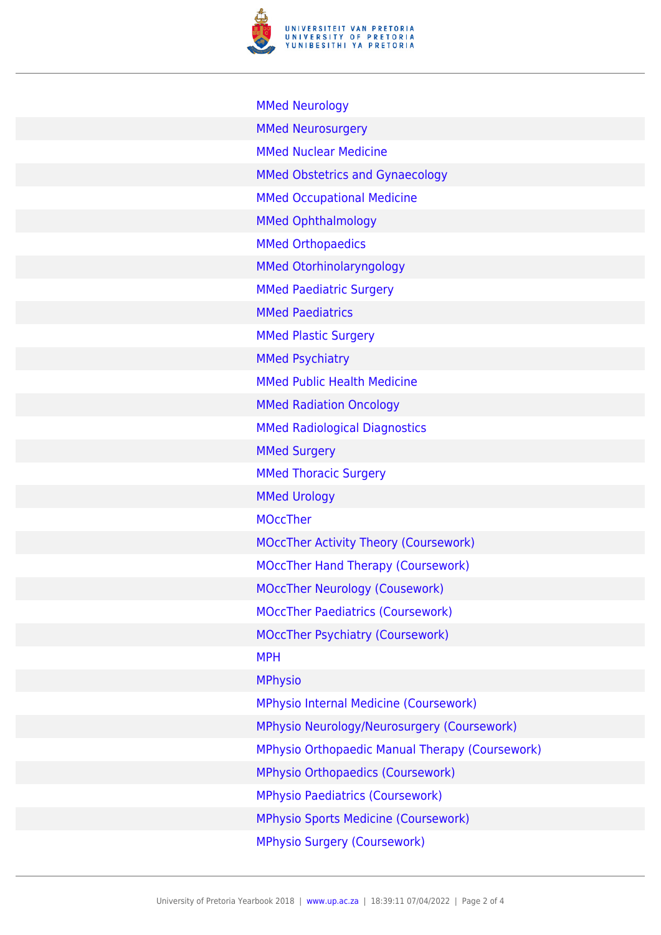

[MMed Neurology](https://www.up.ac.za/faculty-of-education/yearbooks/2018/programmes/view/10250092) [MMed Neurosurgery](https://www.up.ac.za/faculty-of-education/yearbooks/2018/programmes/view/10250192) [MMed Nuclear Medicine](https://www.up.ac.za/faculty-of-education/yearbooks/2018/programmes/view/10250382) [MMed Obstetrics and Gynaecology](https://www.up.ac.za/faculty-of-education/yearbooks/2018/programmes/view/10250102) [MMed Occupational Medicine](https://www.up.ac.za/faculty-of-education/yearbooks/2018/programmes/view/10250374) [MMed Ophthalmology](https://www.up.ac.za/faculty-of-education/yearbooks/2018/programmes/view/10250112) [MMed Orthopaedics](https://www.up.ac.za/faculty-of-education/yearbooks/2018/programmes/view/10250202) [MMed Otorhinolaryngology](https://www.up.ac.za/faculty-of-education/yearbooks/2018/programmes/view/10250362) [MMed Paediatric Surgery](https://www.up.ac.za/faculty-of-education/yearbooks/2018/programmes/view/10250025) [MMed Paediatrics](https://www.up.ac.za/faculty-of-education/yearbooks/2018/programmes/view/10250122) [MMed Plastic Surgery](https://www.up.ac.za/faculty-of-education/yearbooks/2018/programmes/view/10250212) [MMed Psychiatry](https://www.up.ac.za/faculty-of-education/yearbooks/2018/programmes/view/10250142) [MMed Public Health Medicine](https://www.up.ac.za/faculty-of-education/yearbooks/2018/programmes/view/10250373) [MMed Radiation Oncology](https://www.up.ac.za/faculty-of-education/yearbooks/2018/programmes/view/10250164) [MMed Radiological Diagnostics](https://www.up.ac.za/faculty-of-education/yearbooks/2018/programmes/view/10250153) [MMed Surgery](https://www.up.ac.za/faculty-of-education/yearbooks/2018/programmes/view/10250024) [MMed Thoracic Surgery](https://www.up.ac.za/faculty-of-education/yearbooks/2018/programmes/view/10250232) [MMed Urology](https://www.up.ac.za/faculty-of-education/yearbooks/2018/programmes/view/10250222) [MOccTher](https://www.up.ac.za/faculty-of-education/yearbooks/2018/programmes/view/10258002) [MOccTher Activity Theory \(Coursework\)](https://www.up.ac.za/faculty-of-education/yearbooks/2018/programmes/view/10258052) [MOccTher Hand Therapy \(Coursework\)](https://www.up.ac.za/faculty-of-education/yearbooks/2018/programmes/view/10258012) [MOccTher Neurology \(Cousework\)](https://www.up.ac.za/faculty-of-education/yearbooks/2018/programmes/view/10258022) [MOccTher Paediatrics \(Coursework\)](https://www.up.ac.za/faculty-of-education/yearbooks/2018/programmes/view/10258032) [MOccTher Psychiatry \(Coursework\)](https://www.up.ac.za/faculty-of-education/yearbooks/2018/programmes/view/10258042) [MPH](https://www.up.ac.za/faculty-of-education/yearbooks/2018/programmes/view/10256502) [MPhysio](https://www.up.ac.za/faculty-of-education/yearbooks/2018/programmes/view/10258103) [MPhysio Internal Medicine \(Coursework\)](https://www.up.ac.za/faculty-of-education/yearbooks/2018/programmes/view/10258163) [MPhysio Neurology/Neurosurgery \(Coursework\)](https://www.up.ac.za/faculty-of-education/yearbooks/2018/programmes/view/10258233) [MPhysio Orthopaedic Manual Therapy \(Coursework\)](https://www.up.ac.za/faculty-of-education/yearbooks/2018/programmes/view/10258213) [MPhysio Orthopaedics \(Coursework\)](https://www.up.ac.za/faculty-of-education/yearbooks/2018/programmes/view/10258203) [MPhysio Paediatrics \(Coursework\)](https://www.up.ac.za/faculty-of-education/yearbooks/2018/programmes/view/10258173) [MPhysio Sports Medicine \(Coursework\)](https://www.up.ac.za/faculty-of-education/yearbooks/2018/programmes/view/10258223)

[MPhysio Surgery \(Coursework\)](https://www.up.ac.za/faculty-of-education/yearbooks/2018/programmes/view/10258133)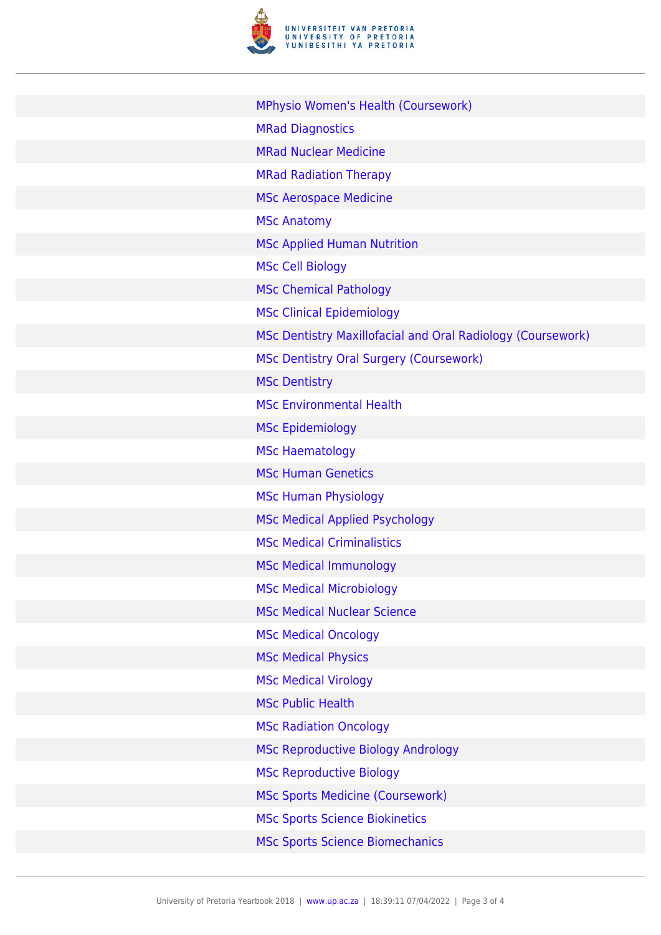

| MPhysio Women's Health (Coursework)                         |
|-------------------------------------------------------------|
| <b>MRad Diagnostics</b>                                     |
| <b>MRad Nuclear Medicine</b>                                |
| <b>MRad Radiation Therapy</b>                               |
| <b>MSc Aerospace Medicine</b>                               |
| <b>MSc Anatomy</b>                                          |
| <b>MSc Applied Human Nutrition</b>                          |
| <b>MSc Cell Biology</b>                                     |
| <b>MSc Chemical Pathology</b>                               |
| <b>MSc Clinical Epidemiology</b>                            |
| MSc Dentistry Maxillofacial and Oral Radiology (Coursework) |
| MSc Dentistry Oral Surgery (Coursework)                     |
| <b>MSc Dentistry</b>                                        |
| <b>MSc Environmental Health</b>                             |
| <b>MSc Epidemiology</b>                                     |
| <b>MSc Haematology</b>                                      |
| <b>MSc Human Genetics</b>                                   |
| <b>MSc Human Physiology</b>                                 |
| <b>MSc Medical Applied Psychology</b>                       |
| <b>MSc Medical Criminalistics</b>                           |
| <b>MSc Medical Immunology</b>                               |
| <b>MSc Medical Microbiology</b>                             |
| <b>MSc Medical Nuclear Science</b>                          |
| <b>MSc Medical Oncology</b>                                 |
| <b>MSc Medical Physics</b>                                  |
| <b>MSc Medical Virology</b>                                 |
| <b>MSc Public Health</b>                                    |
| <b>MSc Radiation Oncology</b>                               |
| <b>MSc Reproductive Biology Andrology</b>                   |
| <b>MSc Reproductive Biology</b>                             |
| <b>MSc Sports Medicine (Coursework)</b>                     |
| <b>MSc Sports Science Biokinetics</b>                       |
| <b>MSc Sports Science Biomechanics</b>                      |